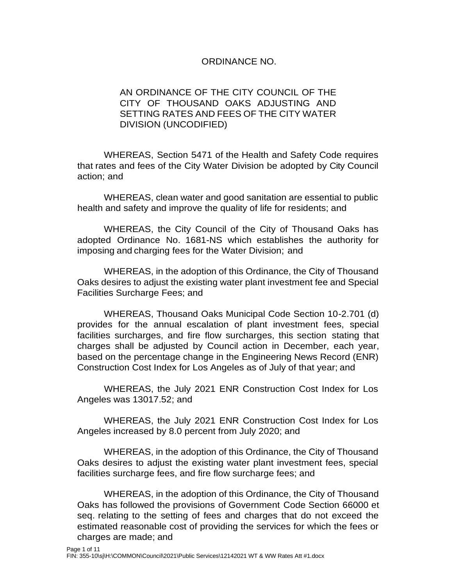## ORDINANCE NO.

## AN ORDINANCE OF THE CITY COUNCIL OF THE CITY OF THOUSAND OAKS ADJUSTING AND SETTING RATES AND FEES OF THE CITY WATER DIVISION (UNCODIFIED)

WHEREAS, Section 5471 of the Health and Safety Code requires that rates and fees of the City Water Division be adopted by City Council action; and

WHEREAS, clean water and good sanitation are essential to public health and safety and improve the quality of life for residents; and

WHEREAS, the City Council of the City of Thousand Oaks has adopted Ordinance No. 1681-NS which establishes the authority for imposing and charging fees for the Water Division; and

WHEREAS, in the adoption of this Ordinance, the City of Thousand Oaks desires to adjust the existing water plant investment fee and Special Facilities Surcharge Fees; and

WHEREAS, Thousand Oaks Municipal Code Section 10-2.701 (d) provides for the annual escalation of plant investment fees, special facilities surcharges, and fire flow surcharges, this section stating that charges shall be adjusted by Council action in December, each year, based on the percentage change in the Engineering News Record (ENR) Construction Cost Index for Los Angeles as of July of that year; and

WHEREAS, the July 2021 ENR Construction Cost Index for Los Angeles was 13017.52; and

WHEREAS, the July 2021 ENR Construction Cost Index for Los Angeles increased by 8.0 percent from July 2020; and

WHEREAS, in the adoption of this Ordinance, the City of Thousand Oaks desires to adjust the existing water plant investment fees, special facilities surcharge fees, and fire flow surcharge fees; and

WHEREAS, in the adoption of this Ordinance, the City of Thousand Oaks has followed the provisions of Government Code Section 66000 et seq. relating to the setting of fees and charges that do not exceed the estimated reasonable cost of providing the services for which the fees or charges are made; and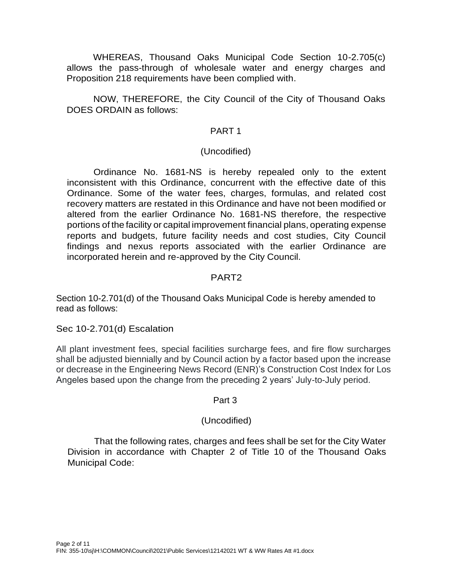WHEREAS, Thousand Oaks Municipal Code Section 10-2.705(c) allows the pass-through of wholesale water and energy charges and Proposition 218 requirements have been complied with.

NOW, THEREFORE, the City Council of the City of Thousand Oaks DOES ORDAIN as follows:

#### PART 1

#### (Uncodified)

Ordinance No. 1681-NS is hereby repealed only to the extent inconsistent with this Ordinance, concurrent with the effective date of this Ordinance. Some of the water fees, charges, formulas, and related cost recovery matters are restated in this Ordinance and have not been modified or altered from the earlier Ordinance No. 1681-NS therefore, the respective portions of the facility or capital improvement financial plans, operating expense reports and budgets, future facility needs and cost studies, City Council findings and nexus reports associated with the earlier Ordinance are incorporated herein and re-approved by the City Council.

## PART2

Section 10-2.701(d) of the Thousand Oaks Municipal Code is hereby amended to read as follows:

Sec 10-2.701(d) Escalation

All plant investment fees, special facilities surcharge fees, and fire flow surcharges shall be adjusted biennially and by Council action by a factor based upon the increase or decrease in the Engineering News Record (ENR)'s Construction Cost Index for Los Angeles based upon the change from the preceding 2 years' July-to-July period.

#### Part 3

#### (Uncodified)

That the following rates, charges and fees shall be set for the City Water Division in accordance with Chapter 2 of Title 10 of the Thousand Oaks Municipal Code: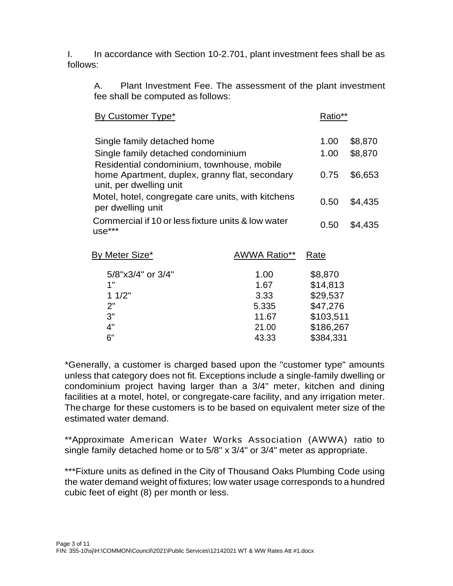I. In accordance with Section 10-2.701, plant investment fees shall be as follows:

A. Plant Investment Fee. The assessment of the plant investment fee shall be computed as follows:

| By Customer Type*                                                                                                       |              | Ratio**   |         |
|-------------------------------------------------------------------------------------------------------------------------|--------------|-----------|---------|
| Single family detached home                                                                                             |              | 1.00      | \$8,870 |
| Single family detached condominium                                                                                      |              | 1.00      | \$8,870 |
| Residential condominium, townhouse, mobile<br>home Apartment, duplex, granny flat, secondary<br>unit, per dwelling unit |              | 0.75      | \$6,653 |
| Motel, hotel, congregate care units, with kitchens<br>per dwelling unit                                                 |              | 0.50      | \$4,435 |
| Commercial if 10 or less fixture units & low water<br>use***                                                            |              | 0.50      | \$4,435 |
| <b>By Meter Size*</b>                                                                                                   | AWWA Ratio** | Rate      |         |
| 5/8"x3/4" or 3/4"                                                                                                       | 1.00         | \$8,870   |         |
| 1"                                                                                                                      | 1.67         | \$14,813  |         |
| 11/2"                                                                                                                   | 3.33         | \$29,537  |         |
| 2"                                                                                                                      | 5.335        | \$47,276  |         |
| 3"                                                                                                                      | 11.67        | \$103,511 |         |
| 4"                                                                                                                      | 21.00        | \$186,267 |         |
| 6"                                                                                                                      | 43.33        | \$384,331 |         |

\*Generally, a customer is charged based upon the "customer type" amounts unless that category does not fit. Exceptions include a single-family dwelling or condominium project having larger than a 3/4" meter, kitchen and dining facilities at a motel, hotel, or congregate-care facility, and any irrigation meter. Thecharge for these customers is to be based on equivalent meter size of the estimated water demand.

\*\*Approximate American Water Works Association (AWWA) ratio to single family detached home or to 5/8" x 3/4" or 3/4" meter as appropriate.

\*\*\*Fixture units as defined in the City of Thousand Oaks Plumbing Code using the water demand weight of fixtures; low water usage corresponds to a hundred cubic feet of eight (8) per month or less.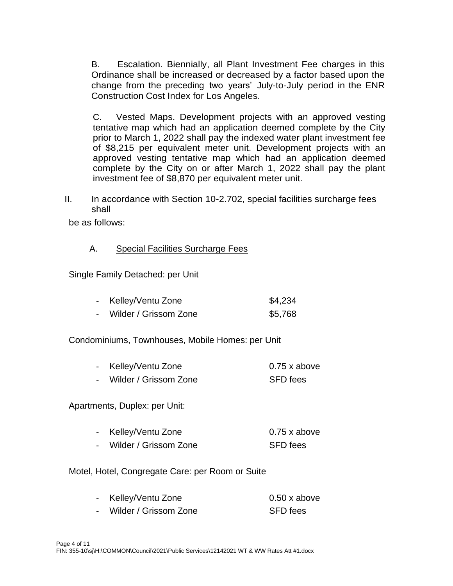B. Escalation. Biennially, all Plant Investment Fee charges in this Ordinance shall be increased or decreased by a factor based upon the change from the preceding two years' July-to-July period in the ENR Construction Cost Index for Los Angeles.

C. Vested Maps. Development projects with an approved vesting tentative map which had an application deemed complete by the City prior to March 1, 2022 shall pay the indexed water plant investment fee of \$8,215 per equivalent meter unit. Development projects with an approved vesting tentative map which had an application deemed complete by the City on or after March 1, 2022 shall pay the plant investment fee of \$8,870 per equivalent meter unit.

II. In accordance with Section 10-2.702, special facilities surcharge fees shall

be as follows:

#### A. Special Facilities Surcharge Fees

Single Family Detached: per Unit

| Kelley/Ventu Zone     | \$4,234 |
|-----------------------|---------|
| Wilder / Grissom Zone | \$5,768 |

Condominiums, Townhouses, Mobile Homes: per Unit

| - Kelley/Ventu Zone     | $0.75$ x above  |
|-------------------------|-----------------|
| - Wilder / Grissom Zone | <b>SFD</b> fees |

Apartments, Duplex: per Unit:

| Kelley/Ventu Zone | $0.75x$ above |
|-------------------|---------------|
|                   |               |

- Wilder / Grissom Zone SFD fees

Motel, Hotel, Congregate Care: per Room or Suite

| Kelley/Ventu Zone     | $0.50 \times above$ |
|-----------------------|---------------------|
| Wilder / Grissom Zone | SFD fees            |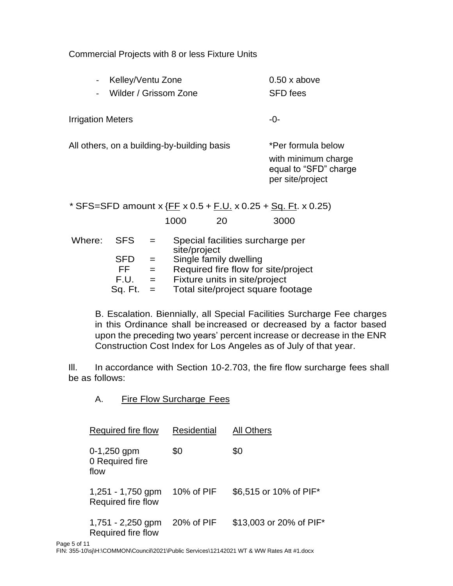Commercial Projects with 8 or less Fixture Units

| . . | Kelley/Ventu Zone     | $0.50 \times above$ |
|-----|-----------------------|---------------------|
|     | Wilder / Grissom Zone | <b>SFD</b> fees     |

Irrigation Meters **-0-**

All others, on a building-by-building basis \*Per formula below with minimum charge equal to "SFD" charge per site/project

\* SFS=SFD amount x  ${F}{F}$  x 0.5 +  ${F}$ .U. x 0.25 +  $Sq$ . Ft. x 0.25) 1000 20 3000 Where: SFS = Special facilities surcharge per site/project

|            |     | <u>,,,,,,,,,,,,,,</u>               |
|------------|-----|-------------------------------------|
| <b>SFD</b> | $=$ | Single family dwelling              |
| FF         | $=$ | Required fire flow for site/project |
| F.U.       | $=$ | Fixture units in site/project       |

Sq. Ft. = Total site/project square footage

B. Escalation. Biennially, all Special Facilities Surcharge Fee charges in this Ordinance shall be increased or decreased by a factor based upon the preceding two years' percent increase or decrease in the ENR Construction Cost Index for Los Angeles as of July of that year.

III. In accordance with Section 10-2.703, the fire flow surcharge fees shall be as follows:

A. Fire Flow Surcharge Fees

| Required fire flow                        | <b>Residential</b> | <b>All Others</b>       |
|-------------------------------------------|--------------------|-------------------------|
| $0-1,250$ gpm<br>0 Required fire<br>flow  | \$0                | \$0                     |
| $1,251 - 1,750$ gpm<br>Required fire flow | 10% of PIF         | \$6,515 or 10% of PIF*  |
| 1,751 - 2,250 gpm<br>Required fire flow   | 20% of PIF         | \$13,003 or 20% of PIF* |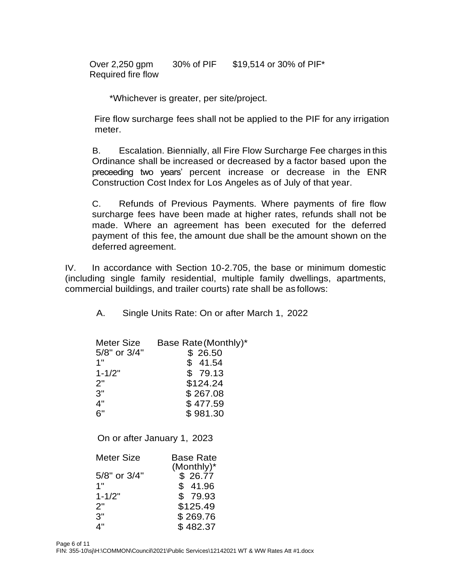Over 2,250 gpm Required fire flow 30% of PIF \$19,514 or 30% of PIF\*

\*Whichever is greater, per site/project.

Fire flow surcharge fees shall not be applied to the PIF for any irrigation meter.

B. Escalation. Biennially, all Fire Flow Surcharge Fee charges in this Ordinance shall be increased or decreased by a factor based upon the preceeding two years' percent increase or decrease in the ENR Construction Cost Index for Los Angeles as of July of that year.

C. Refunds of Previous Payments. Where payments of fire flow surcharge fees have been made at higher rates, refunds shall not be made. Where an agreement has been executed for the deferred payment of this fee, the amount due shall be the amount shown on the deferred agreement.

IV. In accordance with Section 10-2.705, the base or minimum domestic (including single family residential, multiple family dwellings, apartments, commercial buildings, and trailer courts) rate shall be as follows:

A. Single Units Rate: On or after March 1, 2022

| Meter Size        | Base Rate (Monthly)*        |
|-------------------|-----------------------------|
| 5/8" or 3/4"      | \$26.50                     |
| 1"                | \$41.54                     |
| $1 - 1/2"$        | \$79.13                     |
| 2"                | \$124.24                    |
| 3"                | \$267.08                    |
| 4"                | \$477.59                    |
| 6"                | \$981.30                    |
|                   | On or after January 1, 2023 |
|                   |                             |
| <b>Meter Size</b> | <b>Base Rate</b>            |
|                   | $(Monthly)^*$               |
| 5/8" or 3/4"      | \$26.77                     |
| 1"                | \$41.96                     |
| $1 - 1/2"$        | \$79.93                     |
| 2"                | \$125.49                    |
| 3"                | \$269.76                    |
| 4"                | \$482.37                    |
|                   |                             |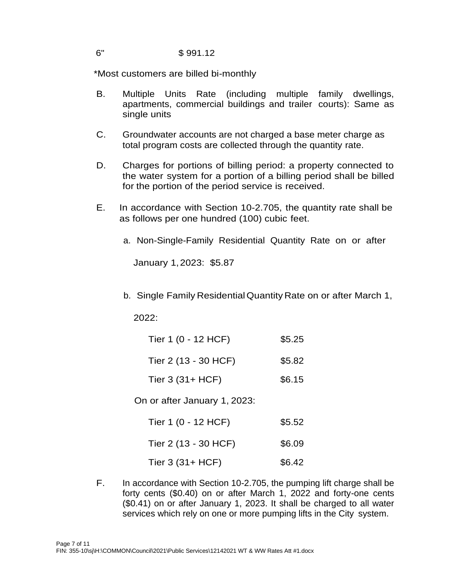## 6" \$ 991.12

\*Most customers are billed bi-monthly

- B. Multiple Units Rate (including multiple family dwellings, apartments, commercial buildings and trailer courts): Same as single units
- C. Groundwater accounts are not charged a base meter charge as total program costs are collected through the quantity rate.
- D. Charges for portions of billing period: a property connected to the water system for a portion of a billing period shall be billed for the portion of the period service is received.
- E. In accordance with Section 10-2.705, the quantity rate shall be as follows per one hundred (100) cubic feet.
	- a. Non-Single-Family Residential Quantity Rate on or after

January 1,2023: \$5.87

b. Single Family ResidentialQuantity Rate on or after March 1,

2022:

| Tier 1 (0 - 12 HCF)  | \$5.25 |
|----------------------|--------|
| Tier 2 (13 - 30 HCF) | \$5.82 |

Tier 3 (31+ HCF) \$6.15

On or after January 1, 2023:

| Tier 1 (0 - 12 HCF) | \$5.52 |
|---------------------|--------|
|---------------------|--------|

| Tier 2 (13 - 30 HCF) | \$6.09 |
|----------------------|--------|
| Tier $3(31+HCF)$     | \$6.42 |

F. In accordance with Section 10-2.705, the pumping lift charge shall be forty cents (\$0.40) on or after March 1, 2022 and forty-one cents (\$0.41) on or after January 1, 2023. It shall be charged to all water services which rely on one or more pumping lifts in the City system.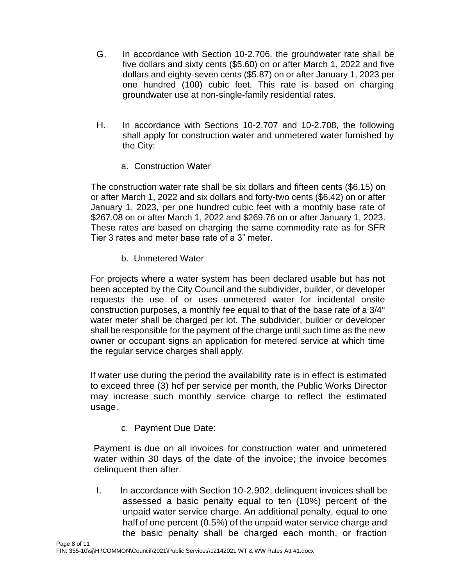- G. In accordance with Section 10-2.706, the groundwater rate shall be five dollars and sixty cents (\$5.60) on or after March 1, 2022 and five dollars and eighty-seven cents (\$5.87) on or after January 1, 2023 per one hundred (100) cubic feet. This rate is based on charging groundwater use at non-single-family residential rates.
- H. In accordance with Sections 10-2.707 and 10-2.708, the following shall apply for construction water and unmetered water furnished by the City:
	- a. Construction Water

The construction water rate shall be six dollars and fifteen cents (\$6.15) on or after March 1, 2022 and six dollars and forty-two cents (\$6.42) on or after January 1, 2023, per one hundred cubic feet with a monthly base rate of \$267.08 on or after March 1, 2022 and \$269.76 on or after January 1, 2023. These rates are based on charging the same commodity rate as for SFR Tier 3 rates and meter base rate of a 3" meter.

b. Unmetered Water

For projects where a water system has been declared usable but has not been accepted by the City Council and the subdivider, builder, or developer requests the use of or uses unmetered water for incidental onsite construction purposes, a monthly fee equal to that of the base rate of a 3/4" water meter shall be charged per lot. The subdivider, builder or developer shall be responsible for the payment of the charge until such time as the new owner or occupant signs an application for metered service at which time the regular service charges shall apply.

If water use during the period the availability rate is in effect is estimated to exceed three (3) hcf per service per month, the Public Works Director may increase such monthly service charge to reflect the estimated usage.

c. Payment Due Date:

Payment is due on all invoices for construction water and unmetered water within 30 days of the date of the invoice; the invoice becomes delinquent then after.

I. In accordance with Section 10-2.902, delinquent invoices shall be assessed a basic penalty equal to ten (10%) percent of the unpaid water service charge. An additional penalty, equal to one half of one percent (0.5%) of the unpaid water service charge and the basic penalty shall be charged each month, or fraction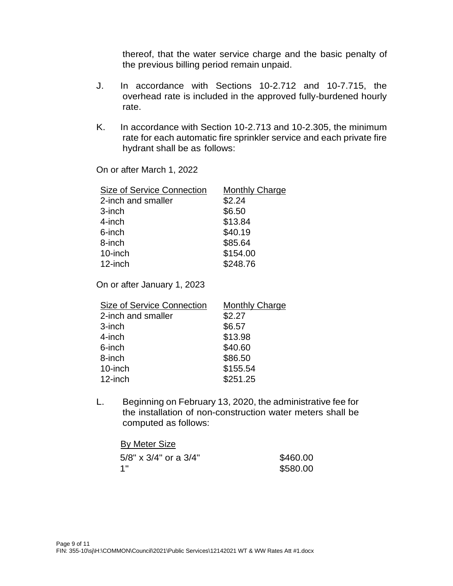thereof, that the water service charge and the basic penalty of the previous billing period remain unpaid.

- J. In accordance with Sections 10-2.712 and 10-7.715, the overhead rate is included in the approved fully-burdened hourly rate.
- K. In accordance with Section 10-2.713 and 10-2.305, the minimum rate for each automatic fire sprinkler service and each private fire hydrant shall be as follows:

On or after March 1, 2022

| Size of Service Connection | <b>Monthly Charge</b> |
|----------------------------|-----------------------|
| 2-inch and smaller         | \$2.24                |
| 3-inch                     | \$6.50                |
| 4-inch                     | \$13.84               |
| 6-inch                     | \$40.19               |
| 8-inch                     | \$85.64               |
| 10-inch                    | \$154.00              |
| 12-inch                    | \$248.76              |
|                            |                       |

On or after January 1, 2023

| <b>Size of Service Connection</b> | <b>Monthly Charge</b> |
|-----------------------------------|-----------------------|
| 2-inch and smaller                | \$2.27                |
| 3-inch                            | \$6.57                |
| 4-inch                            | \$13.98               |
| 6-inch                            | \$40.60               |
| 8-inch                            | \$86.50               |
| 10-inch                           | \$155.54              |
| 12-inch                           | \$251.25              |

L. Beginning on February 13, 2020, the administrative fee for the installation of non-construction water meters shall be computed as follows:

#### By Meter Size 5/8" x 3/4" or a 3/4" 1" \$460.00 \$580.00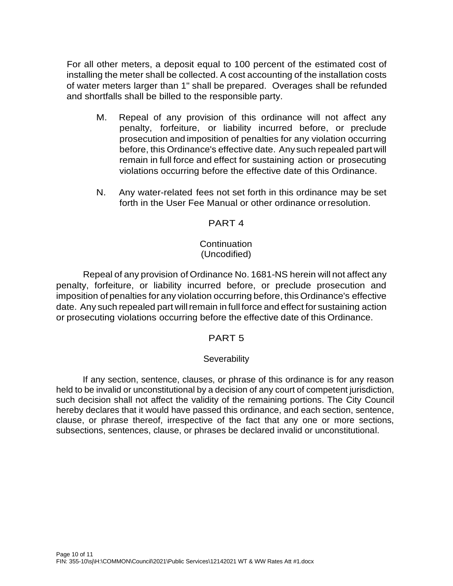For all other meters, a deposit equal to 100 percent of the estimated cost of installing the meter shall be collected. A cost accounting of the installation costs of water meters larger than 1" shall be prepared. Overages shall be refunded and shortfalls shall be billed to the responsible party.

- M. Repeal of any provision of this ordinance will not affect any penalty, forfeiture, or liability incurred before, or preclude prosecution and imposition of penalties for any violation occurring before, this Ordinance's effective date. Any such repealed part will remain in full force and effect for sustaining action or prosecuting violations occurring before the effective date of this Ordinance.
- N. Any water-related fees not set forth in this ordinance may be set forth in the User Fee Manual or other ordinance orresolution.

## PART 4

#### **Continuation** (Uncodified)

Repeal of any provision of Ordinance No. 1681-NS herein will not affect any penalty, forfeiture, or liability incurred before, or preclude prosecution and imposition of penalties for any violation occurring before, this Ordinance's effective date. Any such repealed part will remain in full force and effect for sustaining action or prosecuting violations occurring before the effective date of this Ordinance.

# PART 5

# **Severability**

If any section, sentence, clauses, or phrase of this ordinance is for any reason held to be invalid or unconstitutional by a decision of any court of competent jurisdiction, such decision shall not affect the validity of the remaining portions. The City Council hereby declares that it would have passed this ordinance, and each section, sentence, clause, or phrase thereof, irrespective of the fact that any one or more sections, subsections, sentences, clause, or phrases be declared invalid or unconstitutional.